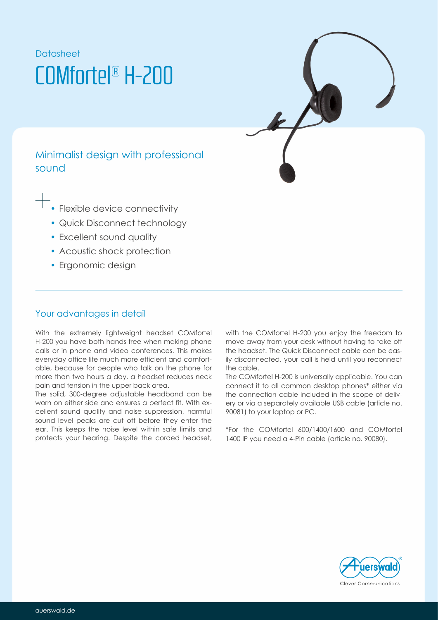# **Datasheet** COMfortel® H-200



- Flexible device connectivity
- Quick Disconnect technology
- Excellent sound quality
- Acoustic shock protection
- Ergonomic design

## Your advantages in detail

With the extremely lightweight headset COMfortel H-200 you have both hands free when making phone calls or in phone and video conferences. This makes everyday office life much more efficient and comfortable, because for people who talk on the phone for more than two hours a day, a headset reduces neck pain and tension in the upper back area.

The solid, 300-degree adjustable headband can be worn on either side and ensures a perfect fit. With excellent sound quality and noise suppression, harmful sound level peaks are cut off before they enter the ear. This keeps the noise level within safe limits and protects your hearing. Despite the corded headset,

COMfortel with the COMfortel H-200 you enjoy the freedom to move away from your desk without having to take off the headset. The Quick Disconnect cable can be easily disconnected, your call is held until you reconnect the cable.

> The COMfortel H-200 is universally applicable. You can connect it to all common desktop phones\* either via the connection cable included in the scope of delivery or via a separately available USB cable (article no. 90081) to your laptop or PC.

> \*For the 600/1400/1600 and COMfortel COMfortel 1400 IP you need a 4-Pin cable (article no. 90080).